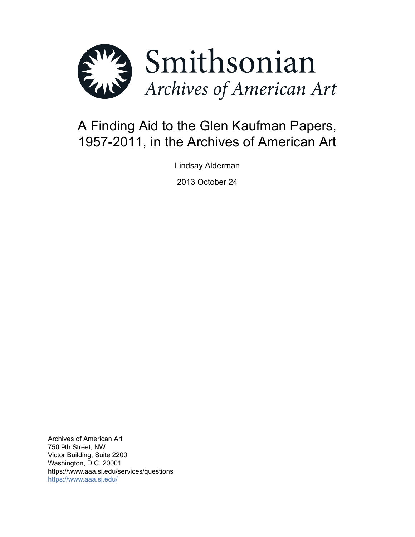

# A Finding Aid to the Glen Kaufman Papers, 1957-2011, in the Archives of American Art

Lindsay Alderman

2013 October 24

Archives of American Art 750 9th Street, NW Victor Building, Suite 2200 Washington, D.C. 20001 https://www.aaa.si.edu/services/questions <https://www.aaa.si.edu/>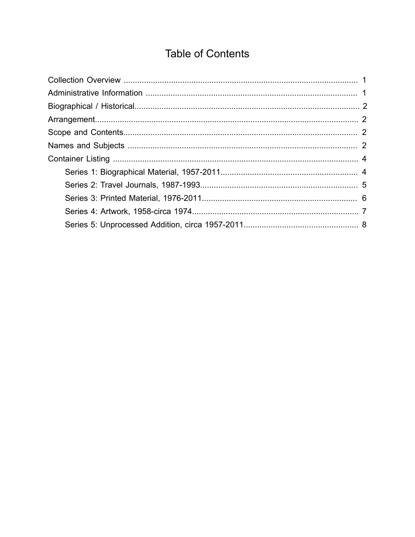# **Table of Contents**

<span id="page-1-0"></span>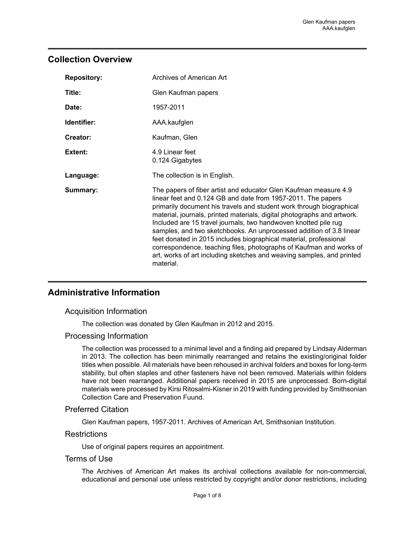## <span id="page-2-0"></span>**Collection Overview**

| <b>Repository:</b> | Archives of American Art                                                                                                                                                                                                                                                                                                                                                                                                                                                                                                                                                                                                                                        |
|--------------------|-----------------------------------------------------------------------------------------------------------------------------------------------------------------------------------------------------------------------------------------------------------------------------------------------------------------------------------------------------------------------------------------------------------------------------------------------------------------------------------------------------------------------------------------------------------------------------------------------------------------------------------------------------------------|
| Title:             | Glen Kaufman papers                                                                                                                                                                                                                                                                                                                                                                                                                                                                                                                                                                                                                                             |
| Date:              | 1957-2011                                                                                                                                                                                                                                                                                                                                                                                                                                                                                                                                                                                                                                                       |
| Identifier:        | AAA.kaufglen                                                                                                                                                                                                                                                                                                                                                                                                                                                                                                                                                                                                                                                    |
| Creator:           | Kaufman, Glen                                                                                                                                                                                                                                                                                                                                                                                                                                                                                                                                                                                                                                                   |
| Extent:            | 4.9 Linear feet<br>0.124 Gigabytes                                                                                                                                                                                                                                                                                                                                                                                                                                                                                                                                                                                                                              |
| Language:          | The collection is in English.                                                                                                                                                                                                                                                                                                                                                                                                                                                                                                                                                                                                                                   |
| Summary:           | The papers of fiber artist and educator Glen Kaufman measure 4.9<br>linear feet and 0.124 GB and date from 1957-2011. The papers<br>primarily document his travels and student work through biographical<br>material, journals, printed materials, digital photographs and artwork.<br>Included are 15 travel journals, two handwoven knotted pile rug<br>samples, and two sketchbooks. An unprocessed addition of 3.8 linear<br>feet donated in 2015 includes biographical material, professional<br>correspondence, teaching files, photographs of Kaufman and works of<br>art, works of art including sketches and weaving samples, and printed<br>material. |

## <span id="page-2-1"></span>**Administrative Information**

#### Acquisition Information

The collection was donated by Glen Kaufman in 2012 and 2015.

#### Processing Information

The collection was processed to a minimal level and a finding aid prepared by Lindsay Alderman in 2013. The collection has been minimally rearranged and retains the existing/original folder titles when possible. All materials have been rehoused in archival folders and boxes for long-term stability, but often staples and other fasteners have not been removed. Materials within folders have not been rearranged. Additional papers received in 2015 are unprocessed. Born-digital materials were processed by Kirsi Ritosalmi-Kisner in 2019 with funding provided by Smithsonian Collection Care and Preservation Fuund.

#### Preferred Citation

Glen Kaufman papers, 1957-2011. Archives of American Art, Smithsonian Institution.

#### **Restrictions**

Use of original papers requires an appointment.

#### Terms of Use

The Archives of American Art makes its archival collections available for non-commercial, educational and personal use unless restricted by copyright and/or donor restrictions, including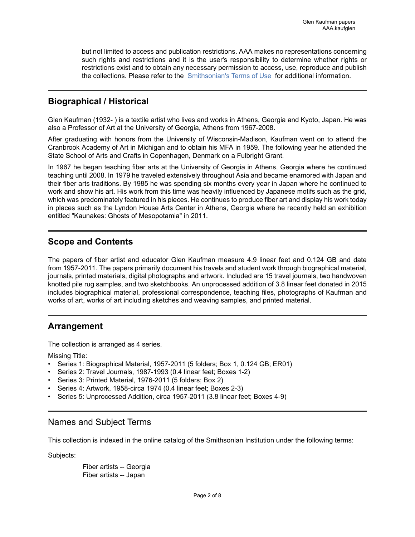but not limited to access and publication restrictions. AAA makes no representations concerning such rights and restrictions and it is the user's responsibility to determine whether rights or restrictions exist and to obtain any necessary permission to access, use, reproduce and publish the collections. Please refer to the [Smithsonian's](https://www.si.edu/termsofuse) Terms of Use for additional information.

## <span id="page-3-0"></span>**Biographical / Historical**

Glen Kaufman (1932- ) is a textile artist who lives and works in Athens, Georgia and Kyoto, Japan. He was also a Professor of Art at the University of Georgia, Athens from 1967-2008.

After graduating with honors from the University of Wisconsin-Madison, Kaufman went on to attend the Cranbrook Academy of Art in Michigan and to obtain his MFA in 1959. The following year he attended the State School of Arts and Crafts in Copenhagen, Denmark on a Fulbright Grant.

In 1967 he began teaching fiber arts at the University of Georgia in Athens, Georgia where he continued teaching until 2008. In 1979 he traveled extensively throughout Asia and became enamored with Japan and their fiber arts traditions. By 1985 he was spending six months every year in Japan where he continued to work and show his art. His work from this time was heavily influenced by Japanese motifs such as the grid, which was predominately featured in his pieces. He continues to produce fiber art and display his work today in places such as the Lyndon House Arts Center in Athens, Georgia where he recently held an exhibition entitled "Kaunakes: Ghosts of Mesopotamia" in 2011.

## <span id="page-3-2"></span>**Scope and Contents**

The papers of fiber artist and educator Glen Kaufman measure 4.9 linear feet and 0.124 GB and date from 1957-2011. The papers primarily document his travels and student work through biographical material, journals, printed materials, digital photographs and artwork. Included are 15 travel journals, two handwoven knotted pile rug samples, and two sketchbooks. An unprocessed addition of 3.8 linear feet donated in 2015 includes biographical material, professional correspondence, teaching files, photographs of Kaufman and works of art, works of art including sketches and weaving samples, and printed material.

## <span id="page-3-1"></span>**Arrangement**

The collection is arranged as 4 series.

Missing Title:

- Series 1: Biographical Material, 1957-2011 (5 folders; Box 1, 0.124 GB; ER01)
- Series 2: Travel Journals, 1987-1993 (0.4 linear feet; Boxes 1-2)
- Series 3: Printed Material, 1976-2011 (5 folders; Box 2)
- Series 4: Artwork, 1958-circa 1974 (0.4 linear feet; Boxes 2-3)
- Series 5: Unprocessed Addition, circa 1957-2011 (3.8 linear feet; Boxes 4-9)

## <span id="page-3-3"></span>Names and Subject Terms

This collection is indexed in the online catalog of the Smithsonian Institution under the following terms:

Subjects:

Fiber artists -- Georgia Fiber artists -- Japan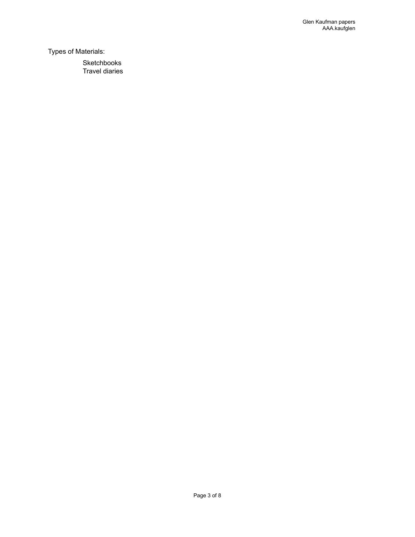Types of Materials:

Sketchbooks Travel diaries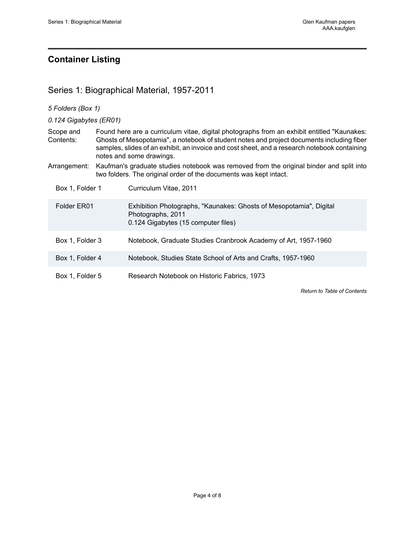# <span id="page-5-0"></span>**Container Listing**

# <span id="page-5-1"></span>Series 1: Biographical Material, 1957-2011

| 5 Folders (Box 1)      |                                                                                                                                                                                                                                                                                                                     |                                                                                                                                                              |  |  |
|------------------------|---------------------------------------------------------------------------------------------------------------------------------------------------------------------------------------------------------------------------------------------------------------------------------------------------------------------|--------------------------------------------------------------------------------------------------------------------------------------------------------------|--|--|
| 0.124 Gigabytes (ER01) |                                                                                                                                                                                                                                                                                                                     |                                                                                                                                                              |  |  |
| Scope and<br>Contents: | Found here are a curriculum vitae, digital photographs from an exhibit entitled "Kaunakes:<br>Ghosts of Mesopotamia", a notebook of student notes and project documents including fiber<br>samples, slides of an exhibit, an invoice and cost sheet, and a research notebook containing<br>notes and some drawings. |                                                                                                                                                              |  |  |
| Arrangement:           |                                                                                                                                                                                                                                                                                                                     | Kaufman's graduate studies notebook was removed from the original binder and split into<br>two folders. The original order of the documents was kept intact. |  |  |
| Box 1, Folder 1        |                                                                                                                                                                                                                                                                                                                     | Curriculum Vitae, 2011                                                                                                                                       |  |  |
| Folder ER01            |                                                                                                                                                                                                                                                                                                                     | Exhibition Photographs, "Kaunakes: Ghosts of Mesopotamia", Digital<br>Photographs, 2011<br>0.124 Gigabytes (15 computer files)                               |  |  |
| Box 1, Folder 3        |                                                                                                                                                                                                                                                                                                                     | Notebook, Graduate Studies Cranbrook Academy of Art, 1957-1960                                                                                               |  |  |
| Box 1, Folder 4        |                                                                                                                                                                                                                                                                                                                     | Notebook, Studies State School of Arts and Crafts, 1957-1960                                                                                                 |  |  |
| Box 1, Folder 5        |                                                                                                                                                                                                                                                                                                                     | Research Notebook on Historic Fabrics, 1973                                                                                                                  |  |  |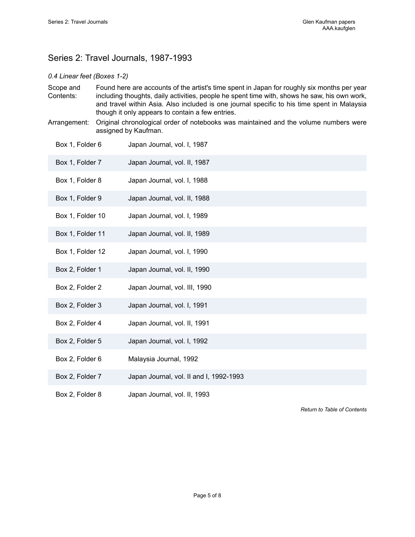# <span id="page-6-0"></span>Series 2: Travel Journals, 1987-1993

#### *0.4 Linear feet (Boxes 1-2)*

- Scope and Contents: Found here are accounts of the artist's time spent in Japan for roughly six months per year including thoughts, daily activities, people he spent time with, shows he saw, his own work, and travel within Asia. Also included is one journal specific to his time spent in Malaysia though it only appears to contain a few entries.
- Arrangement: Original chronological order of notebooks was maintained and the volume numbers were assigned by Kaufman.

| Box 1, Folder 6  | Japan Journal, vol. I, 1987             |
|------------------|-----------------------------------------|
| Box 1, Folder 7  | Japan Journal, vol. II, 1987            |
| Box 1, Folder 8  | Japan Journal, vol. I, 1988             |
| Box 1, Folder 9  | Japan Journal, vol. II, 1988            |
| Box 1, Folder 10 | Japan Journal, vol. I, 1989             |
| Box 1, Folder 11 | Japan Journal, vol. II, 1989            |
| Box 1, Folder 12 | Japan Journal, vol. I, 1990             |
| Box 2, Folder 1  | Japan Journal, vol. II, 1990            |
| Box 2, Folder 2  | Japan Journal, vol. III, 1990           |
| Box 2, Folder 3  | Japan Journal, vol. I, 1991             |
| Box 2, Folder 4  | Japan Journal, vol. II, 1991            |
| Box 2, Folder 5  | Japan Journal, vol. I, 1992             |
| Box 2, Folder 6  | Malaysia Journal, 1992                  |
| Box 2, Folder 7  | Japan Journal, vol. II and I, 1992-1993 |
| Box 2, Folder 8  | Japan Journal, vol. II, 1993            |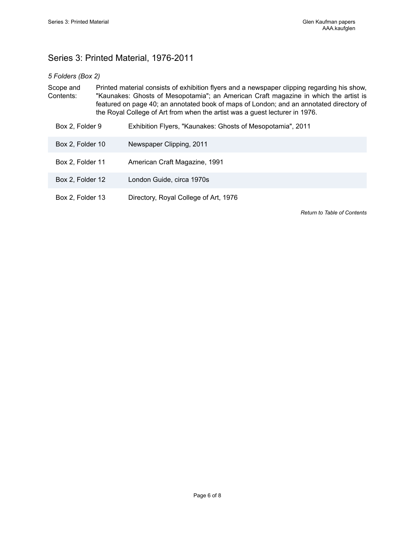# <span id="page-7-0"></span>Series 3: Printed Material, 1976-2011

#### *5 Folders (Box 2)*

Scope and Contents: Printed material consists of exhibition flyers and a newspaper clipping regarding his show, "Kaunakes: Ghosts of Mesopotamia"; an American Craft magazine in which the artist is featured on page 40; an annotated book of maps of London; and an annotated directory of the Royal College of Art from when the artist was a guest lecturer in 1976.

| Box 2, Folder 9  | Exhibition Flyers, "Kaunakes: Ghosts of Mesopotamia", 2011 |
|------------------|------------------------------------------------------------|
| Box 2, Folder 10 | Newspaper Clipping, 2011                                   |
| Box 2, Folder 11 | American Craft Magazine, 1991                              |
| Box 2, Folder 12 | London Guide, circa 1970s                                  |
| Box 2, Folder 13 | Directory, Royal College of Art, 1976                      |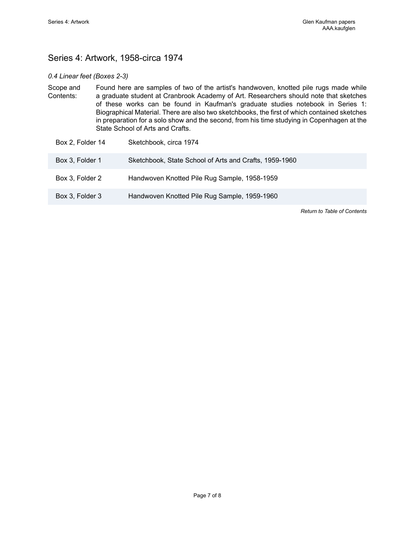# <span id="page-8-0"></span>Series 4: Artwork, 1958-circa 1974

#### *0.4 Linear feet (Boxes 2-3)*

Scope and Contents: Found here are samples of two of the artist's handwoven, knotted pile rugs made while a graduate student at Cranbrook Academy of Art. Researchers should note that sketches of these works can be found in Kaufman's graduate studies notebook in Series 1: Biographical Material. There are also two sketchbooks, the first of which contained sketches in preparation for a solo show and the second, from his time studying in Copenhagen at the State School of Arts and Crafts.

| Box 2, Folder 14 | Sketchbook, circa 1974                                 |
|------------------|--------------------------------------------------------|
| Box 3, Folder 1  | Sketchbook, State School of Arts and Crafts, 1959-1960 |
| Box 3, Folder 2  | Handwoven Knotted Pile Rug Sample, 1958-1959           |
| Box 3, Folder 3  | Handwoven Knotted Pile Rug Sample, 1959-1960           |